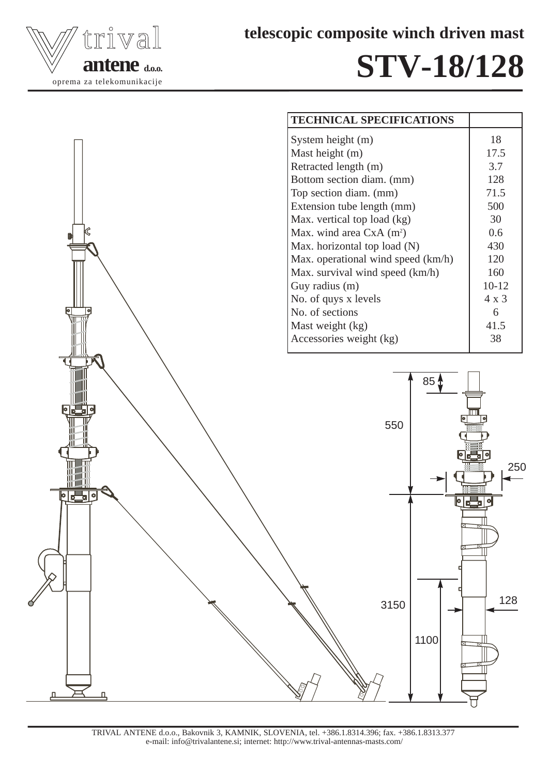

**telescopic composite winch driven mast**

## **STV-18/128**



TRIVAL ANTENE d.o.o., Bakovnik 3, KAMNIK, SLOVENIA, tel. +386.1.8314.396; fax. +386.1.8313.377 e-mail: info@trivalantene.si; internet: http://www.trival-antennas-masts.com/